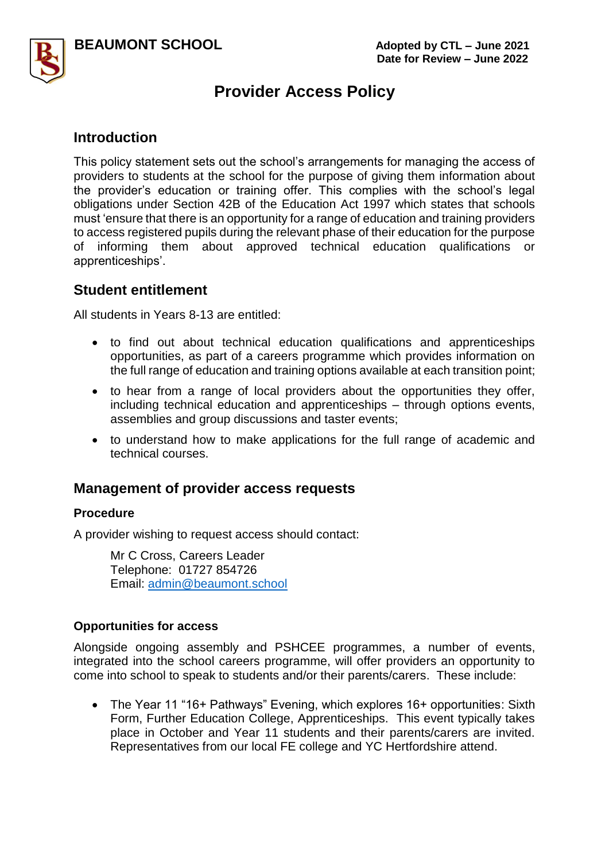



## **Provider Access Policy**

## **Introduction**

This policy statement sets out the school's arrangements for managing the access of providers to students at the school for the purpose of giving them information about the provider's education or training offer. This complies with the school's legal obligations under Section 42B of the Education Act 1997 which states that schools must 'ensure that there is an opportunity for a range of education and training providers to access registered pupils during the relevant phase of their education for the purpose of informing them about approved technical education qualifications or apprenticeships'.

### **Student entitlement**

All students in Years 8-13 are entitled:

- to find out about technical education qualifications and apprenticeships opportunities, as part of a careers programme which provides information on the full range of education and training options available at each transition point;
- to hear from a range of local providers about the opportunities they offer, including technical education and apprenticeships – through options events, assemblies and group discussions and taster events;
- to understand how to make applications for the full range of academic and technical courses.

## **Management of provider access requests**

#### **Procedure**

A provider wishing to request access should contact:

Mr C Cross, Careers Leader Telephone: 01727 854726 Email: [admin@beaumont.school](mailto:admin@beaumont.school)

#### **Opportunities for access**

Alongside ongoing assembly and PSHCEE programmes, a number of events, integrated into the school careers programme, will offer providers an opportunity to come into school to speak to students and/or their parents/carers. These include:

• The Year 11 "16+ Pathways" Evening, which explores 16+ opportunities: Sixth Form, Further Education College, Apprenticeships. This event typically takes place in October and Year 11 students and their parents/carers are invited. Representatives from our local FE college and YC Hertfordshire attend.